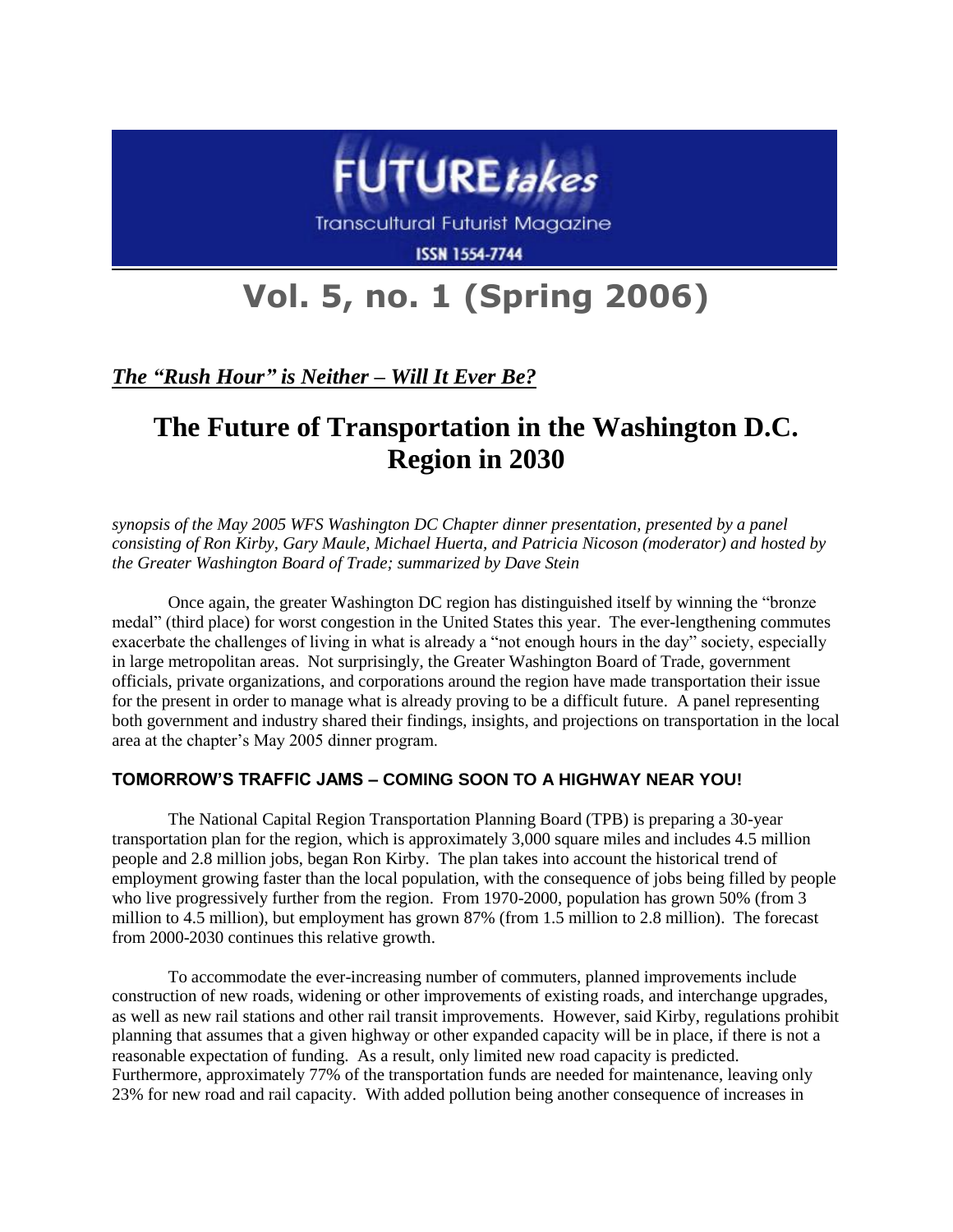

**Transcultural Futurist Magazine** 

**ISSN 1554-7744** 

# **Vol. 5, no. 1 (Spring 2006)**

*The "Rush Hour" is Neither – Will It Ever Be?*

# **The Future of Transportation in the Washington D.C. Region in 2030**

*synopsis of the May 2005 WFS Washington DC Chapter dinner presentation, presented by a panel consisting of Ron Kirby, Gary Maule, Michael Huerta, and Patricia Nicoson (moderator) and hosted by the Greater Washington Board of Trade; summarized by Dave Stein*

Once again, the greater Washington DC region has distinguished itself by winning the "bronze medal" (third place) for worst congestion in the United States this year. The ever-lengthening commutes exacerbate the challenges of living in what is already a "not enough hours in the day" society, especially in large metropolitan areas. Not surprisingly, the Greater Washington Board of Trade, government officials, private organizations, and corporations around the region have made transportation their issue for the present in order to manage what is already proving to be a difficult future. A panel representing both government and industry shared their findings, insights, and projections on transportation in the local area at the chapter's May 2005 dinner program.

## **TOMORROW'S TRAFFIC JAMS – COMING SOON TO A HIGHWAY NEAR YOU!**

The National Capital Region Transportation Planning Board (TPB) is preparing a 30-year transportation plan for the region, which is approximately 3,000 square miles and includes 4.5 million people and 2.8 million jobs, began Ron Kirby. The plan takes into account the historical trend of employment growing faster than the local population, with the consequence of jobs being filled by people who live progressively further from the region. From 1970-2000, population has grown 50% (from 3 million to 4.5 million), but employment has grown 87% (from 1.5 million to 2.8 million). The forecast from 2000-2030 continues this relative growth.

To accommodate the ever-increasing number of commuters, planned improvements include construction of new roads, widening or other improvements of existing roads, and interchange upgrades, as well as new rail stations and other rail transit improvements. However, said Kirby, regulations prohibit planning that assumes that a given highway or other expanded capacity will be in place, if there is not a reasonable expectation of funding. As a result, only limited new road capacity is predicted. Furthermore, approximately 77% of the transportation funds are needed for maintenance, leaving only 23% for new road and rail capacity. With added pollution being another consequence of increases in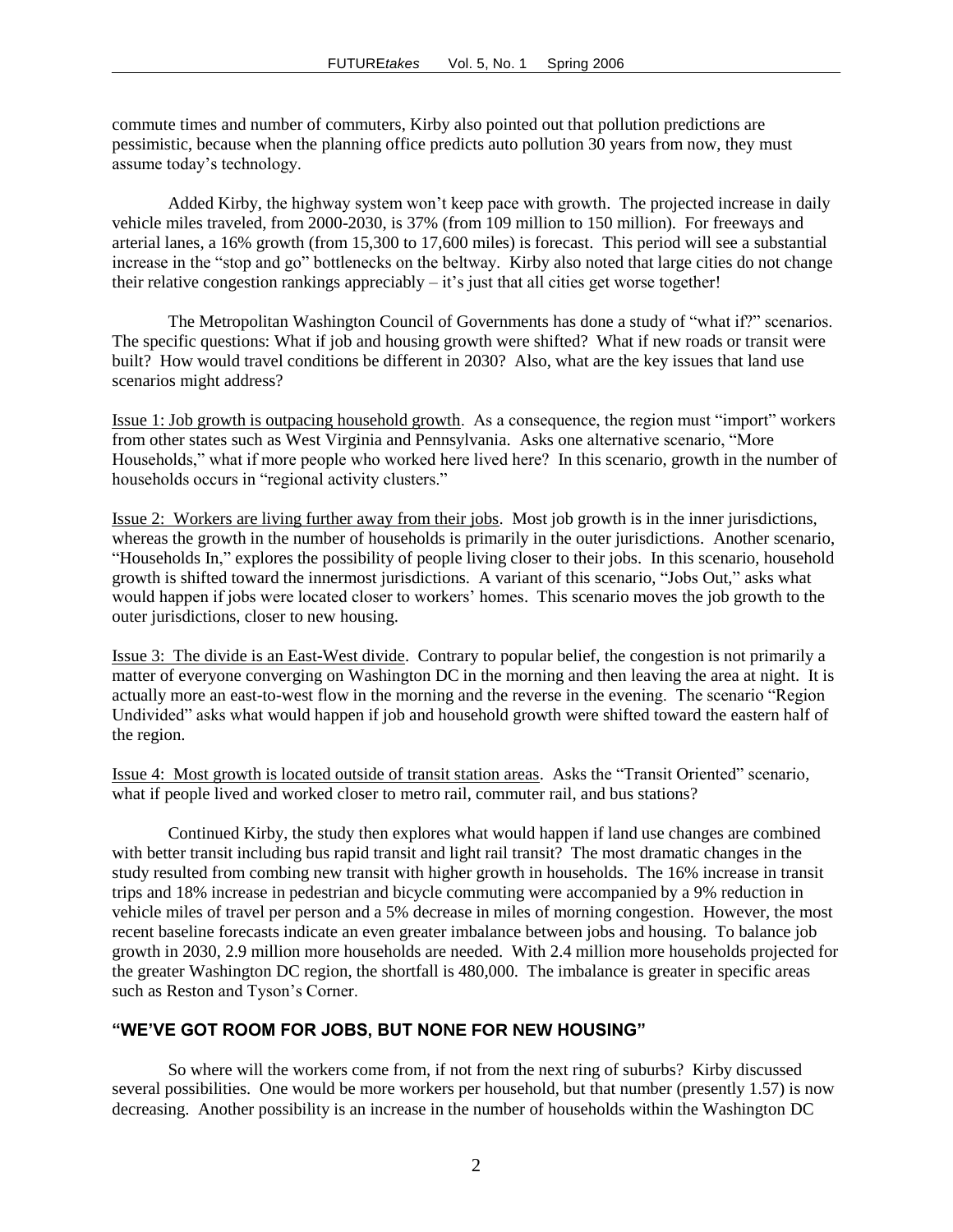commute times and number of commuters, Kirby also pointed out that pollution predictions are pessimistic, because when the planning office predicts auto pollution 30 years from now, they must assume today's technology.

Added Kirby, the highway system won't keep pace with growth. The projected increase in daily vehicle miles traveled, from 2000-2030, is 37% (from 109 million to 150 million). For freeways and arterial lanes, a 16% growth (from 15,300 to 17,600 miles) is forecast. This period will see a substantial increase in the "stop and go" bottlenecks on the beltway. Kirby also noted that large cities do not change their relative congestion rankings appreciably – it's just that all cities get worse together!

The Metropolitan Washington Council of Governments has done a study of "what if?" scenarios. The specific questions: What if job and housing growth were shifted? What if new roads or transit were built? How would travel conditions be different in 2030? Also, what are the key issues that land use scenarios might address?

Issue 1: Job growth is outpacing household growth. As a consequence, the region must "import" workers from other states such as West Virginia and Pennsylvania. Asks one alternative scenario, "More Households," what if more people who worked here lived here? In this scenario, growth in the number of households occurs in "regional activity clusters."

Issue 2: Workers are living further away from their jobs. Most job growth is in the inner jurisdictions, whereas the growth in the number of households is primarily in the outer jurisdictions. Another scenario, "Households In," explores the possibility of people living closer to their jobs. In this scenario, household growth is shifted toward the innermost jurisdictions. A variant of this scenario, "Jobs Out," asks what would happen if jobs were located closer to workers' homes. This scenario moves the job growth to the outer jurisdictions, closer to new housing.

Issue 3: The divide is an East-West divide. Contrary to popular belief, the congestion is not primarily a matter of everyone converging on Washington DC in the morning and then leaving the area at night. It is actually more an east-to-west flow in the morning and the reverse in the evening. The scenario "Region Undivided" asks what would happen if job and household growth were shifted toward the eastern half of the region.

Issue 4: Most growth is located outside of transit station areas. Asks the "Transit Oriented" scenario, what if people lived and worked closer to metro rail, commuter rail, and bus stations?

Continued Kirby, the study then explores what would happen if land use changes are combined with better transit including bus rapid transit and light rail transit? The most dramatic changes in the study resulted from combing new transit with higher growth in households. The 16% increase in transit trips and 18% increase in pedestrian and bicycle commuting were accompanied by a 9% reduction in vehicle miles of travel per person and a 5% decrease in miles of morning congestion. However, the most recent baseline forecasts indicate an even greater imbalance between jobs and housing. To balance job growth in 2030, 2.9 million more households are needed. With 2.4 million more households projected for the greater Washington DC region, the shortfall is 480,000. The imbalance is greater in specific areas such as Reston and Tyson's Corner.

#### **"WE'VE GOT ROOM FOR JOBS, BUT NONE FOR NEW HOUSING"**

So where will the workers come from, if not from the next ring of suburbs? Kirby discussed several possibilities. One would be more workers per household, but that number (presently 1.57) is now decreasing. Another possibility is an increase in the number of households within the Washington DC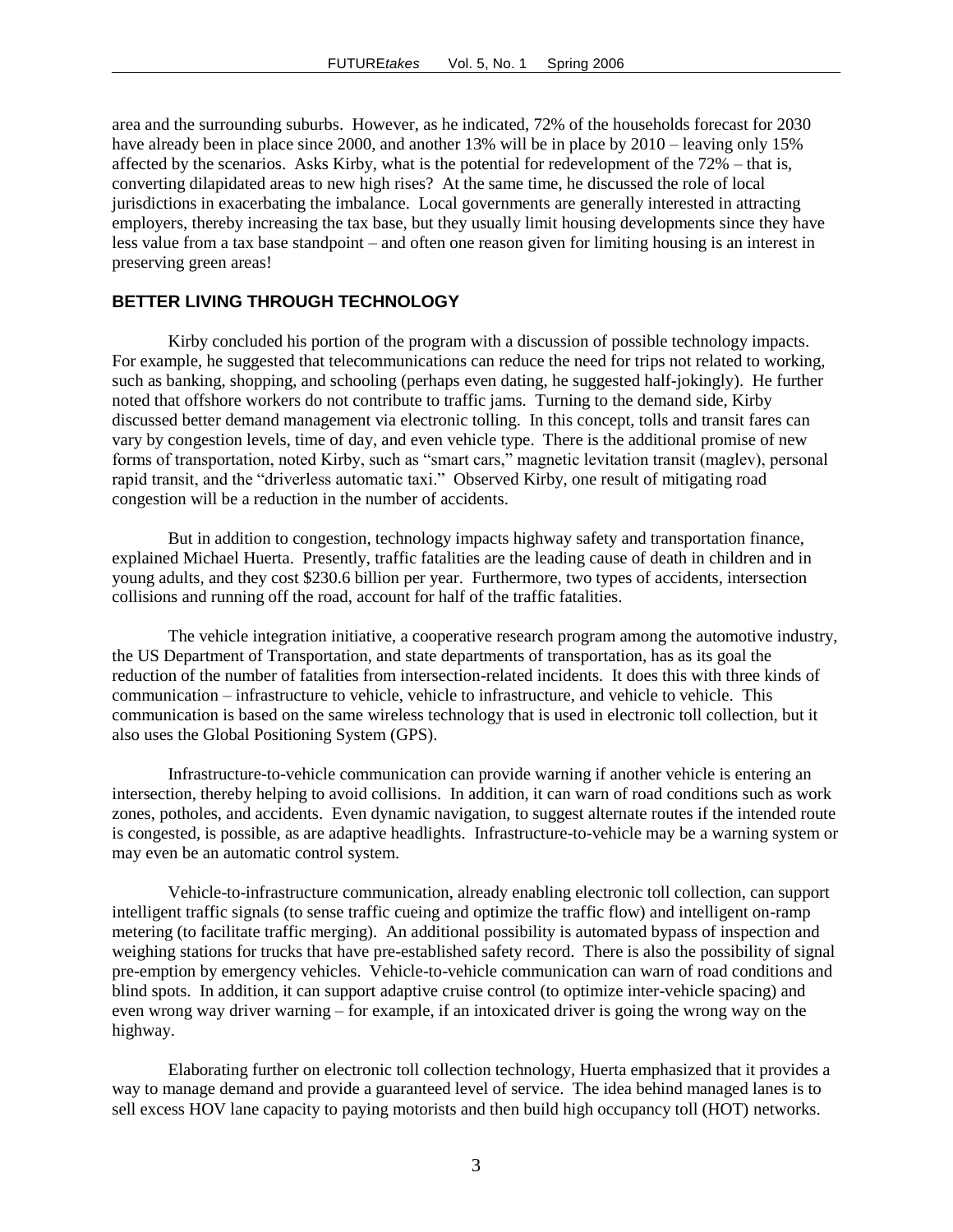area and the surrounding suburbs. However, as he indicated, 72% of the households forecast for 2030 have already been in place since 2000, and another 13% will be in place by 2010 – leaving only 15% affected by the scenarios. Asks Kirby, what is the potential for redevelopment of the 72% – that is, converting dilapidated areas to new high rises? At the same time, he discussed the role of local jurisdictions in exacerbating the imbalance. Local governments are generally interested in attracting employers, thereby increasing the tax base, but they usually limit housing developments since they have less value from a tax base standpoint – and often one reason given for limiting housing is an interest in preserving green areas!

#### **BETTER LIVING THROUGH TECHNOLOGY**

Kirby concluded his portion of the program with a discussion of possible technology impacts. For example, he suggested that telecommunications can reduce the need for trips not related to working, such as banking, shopping, and schooling (perhaps even dating, he suggested half-jokingly). He further noted that offshore workers do not contribute to traffic jams. Turning to the demand side, Kirby discussed better demand management via electronic tolling. In this concept, tolls and transit fares can vary by congestion levels, time of day, and even vehicle type. There is the additional promise of new forms of transportation, noted Kirby, such as "smart cars," magnetic levitation transit (maglev), personal rapid transit, and the "driverless automatic taxi." Observed Kirby, one result of mitigating road congestion will be a reduction in the number of accidents.

But in addition to congestion, technology impacts highway safety and transportation finance, explained Michael Huerta. Presently, traffic fatalities are the leading cause of death in children and in young adults, and they cost \$230.6 billion per year. Furthermore, two types of accidents, intersection collisions and running off the road, account for half of the traffic fatalities.

The vehicle integration initiative, a cooperative research program among the automotive industry, the US Department of Transportation, and state departments of transportation, has as its goal the reduction of the number of fatalities from intersection-related incidents. It does this with three kinds of communication – infrastructure to vehicle, vehicle to infrastructure, and vehicle to vehicle. This communication is based on the same wireless technology that is used in electronic toll collection, but it also uses the Global Positioning System (GPS).

Infrastructure-to-vehicle communication can provide warning if another vehicle is entering an intersection, thereby helping to avoid collisions. In addition, it can warn of road conditions such as work zones, potholes, and accidents. Even dynamic navigation, to suggest alternate routes if the intended route is congested, is possible, as are adaptive headlights. Infrastructure-to-vehicle may be a warning system or may even be an automatic control system.

Vehicle-to-infrastructure communication, already enabling electronic toll collection, can support intelligent traffic signals (to sense traffic cueing and optimize the traffic flow) and intelligent on-ramp metering (to facilitate traffic merging). An additional possibility is automated bypass of inspection and weighing stations for trucks that have pre-established safety record. There is also the possibility of signal pre-emption by emergency vehicles. Vehicle-to-vehicle communication can warn of road conditions and blind spots. In addition, it can support adaptive cruise control (to optimize inter-vehicle spacing) and even wrong way driver warning – for example, if an intoxicated driver is going the wrong way on the highway.

Elaborating further on electronic toll collection technology, Huerta emphasized that it provides a way to manage demand and provide a guaranteed level of service. The idea behind managed lanes is to sell excess HOV lane capacity to paying motorists and then build high occupancy toll (HOT) networks.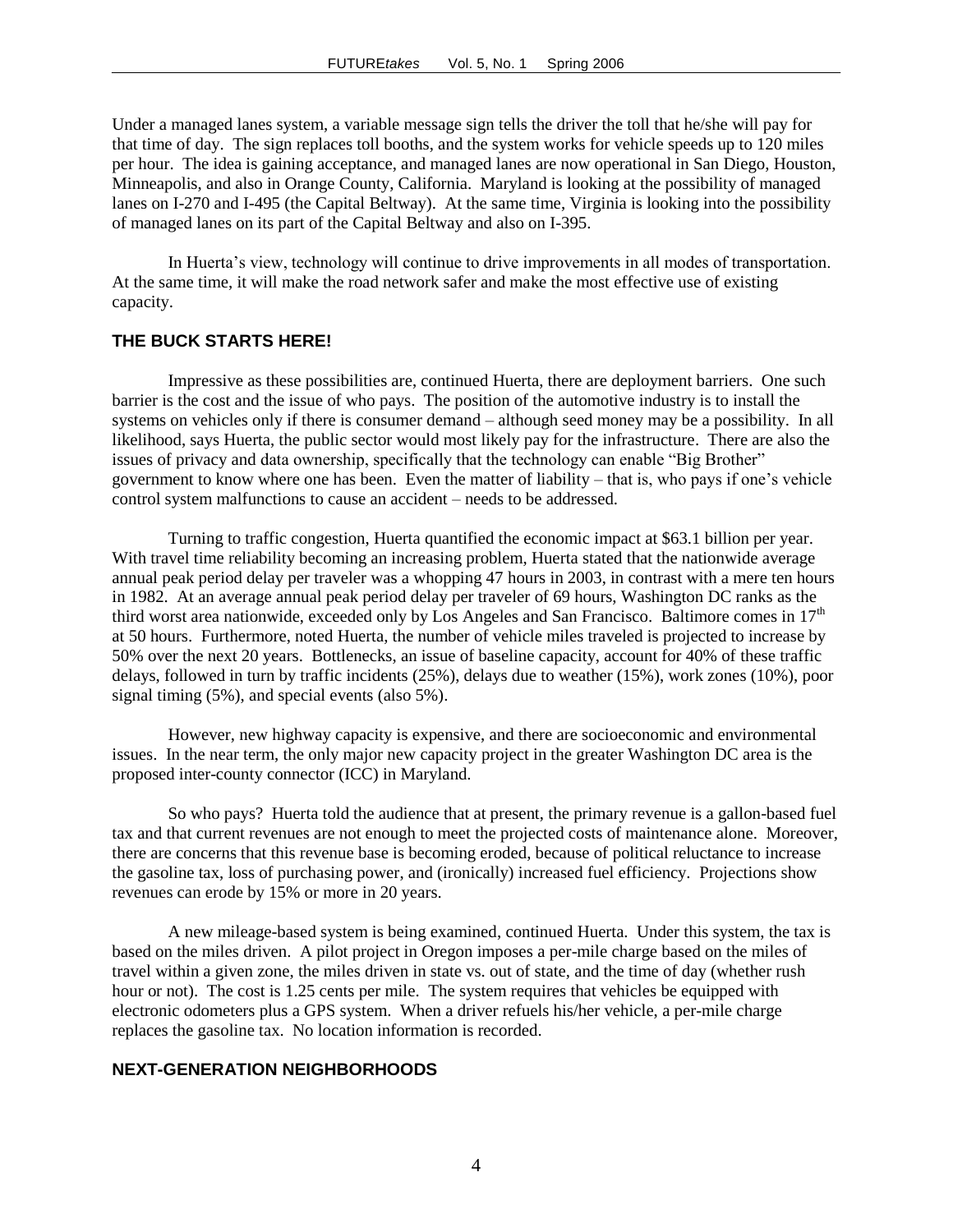Under a managed lanes system, a variable message sign tells the driver the toll that he/she will pay for that time of day. The sign replaces toll booths, and the system works for vehicle speeds up to 120 miles per hour. The idea is gaining acceptance, and managed lanes are now operational in San Diego, Houston, Minneapolis, and also in Orange County, California. Maryland is looking at the possibility of managed lanes on I-270 and I-495 (the Capital Beltway). At the same time, Virginia is looking into the possibility of managed lanes on its part of the Capital Beltway and also on I-395.

In Huerta's view, technology will continue to drive improvements in all modes of transportation. At the same time, it will make the road network safer and make the most effective use of existing capacity.

#### **THE BUCK STARTS HERE!**

Impressive as these possibilities are, continued Huerta, there are deployment barriers. One such barrier is the cost and the issue of who pays. The position of the automotive industry is to install the systems on vehicles only if there is consumer demand – although seed money may be a possibility. In all likelihood, says Huerta, the public sector would most likely pay for the infrastructure. There are also the issues of privacy and data ownership, specifically that the technology can enable "Big Brother" government to know where one has been. Even the matter of liability – that is, who pays if one's vehicle control system malfunctions to cause an accident – needs to be addressed.

Turning to traffic congestion, Huerta quantified the economic impact at \$63.1 billion per year. With travel time reliability becoming an increasing problem, Huerta stated that the nationwide average annual peak period delay per traveler was a whopping 47 hours in 2003, in contrast with a mere ten hours in 1982. At an average annual peak period delay per traveler of 69 hours, Washington DC ranks as the third worst area nationwide, exceeded only by Los Angeles and San Francisco. Baltimore comes in 17<sup>th</sup> at 50 hours. Furthermore, noted Huerta, the number of vehicle miles traveled is projected to increase by 50% over the next 20 years. Bottlenecks, an issue of baseline capacity, account for 40% of these traffic delays, followed in turn by traffic incidents (25%), delays due to weather (15%), work zones (10%), poor signal timing (5%), and special events (also 5%).

However, new highway capacity is expensive, and there are socioeconomic and environmental issues. In the near term, the only major new capacity project in the greater Washington DC area is the proposed inter-county connector (ICC) in Maryland.

So who pays? Huerta told the audience that at present, the primary revenue is a gallon-based fuel tax and that current revenues are not enough to meet the projected costs of maintenance alone. Moreover, there are concerns that this revenue base is becoming eroded, because of political reluctance to increase the gasoline tax, loss of purchasing power, and (ironically) increased fuel efficiency. Projections show revenues can erode by 15% or more in 20 years.

A new mileage-based system is being examined, continued Huerta. Under this system, the tax is based on the miles driven. A pilot project in Oregon imposes a per-mile charge based on the miles of travel within a given zone, the miles driven in state vs. out of state, and the time of day (whether rush hour or not). The cost is 1.25 cents per mile. The system requires that vehicles be equipped with electronic odometers plus a GPS system. When a driver refuels his/her vehicle, a per-mile charge replaces the gasoline tax. No location information is recorded.

## **NEXT-GENERATION NEIGHBORHOODS**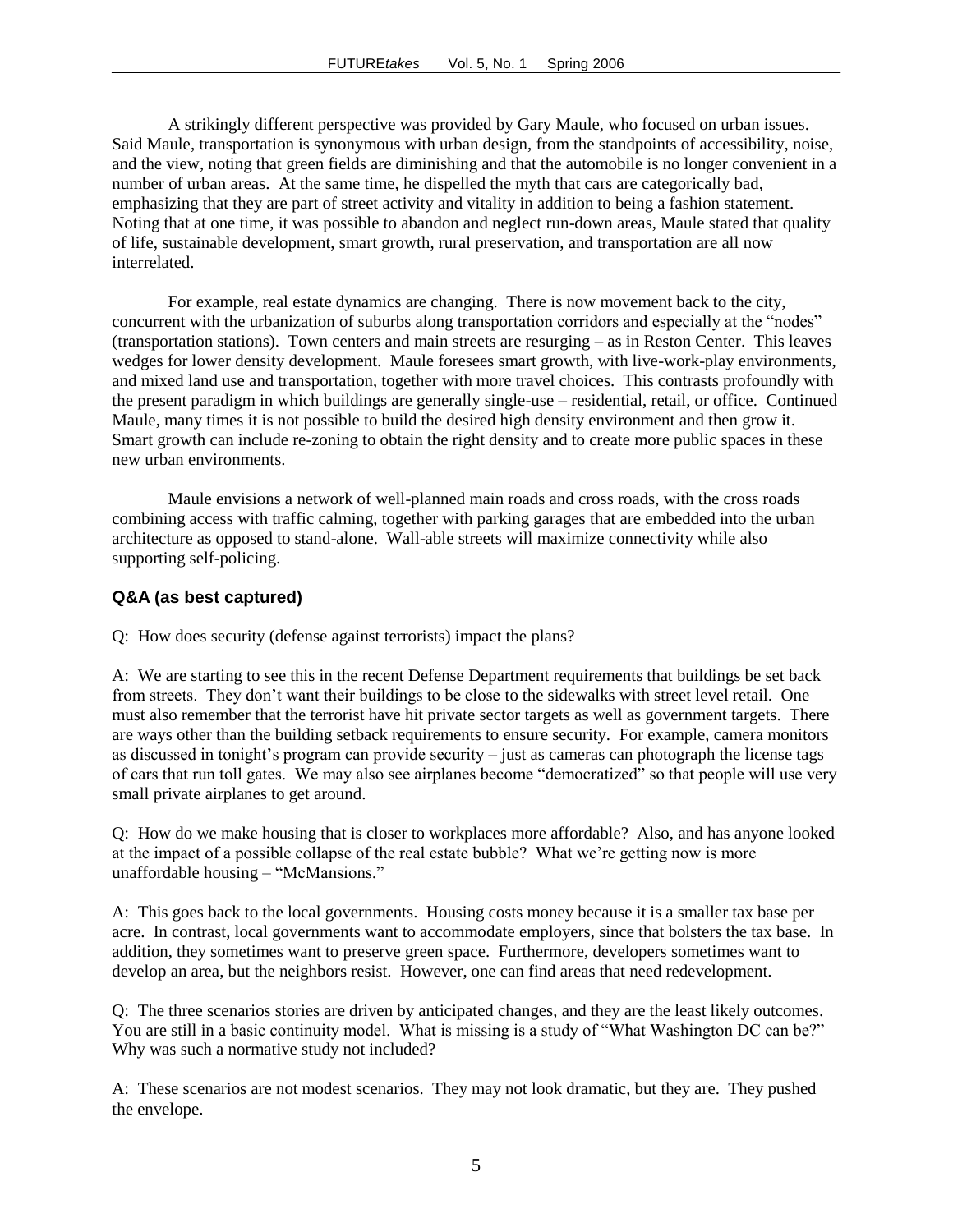A strikingly different perspective was provided by Gary Maule, who focused on urban issues. Said Maule, transportation is synonymous with urban design, from the standpoints of accessibility, noise, and the view, noting that green fields are diminishing and that the automobile is no longer convenient in a number of urban areas. At the same time, he dispelled the myth that cars are categorically bad, emphasizing that they are part of street activity and vitality in addition to being a fashion statement. Noting that at one time, it was possible to abandon and neglect run-down areas, Maule stated that quality of life, sustainable development, smart growth, rural preservation, and transportation are all now interrelated.

For example, real estate dynamics are changing. There is now movement back to the city, concurrent with the urbanization of suburbs along transportation corridors and especially at the "nodes" (transportation stations). Town centers and main streets are resurging – as in Reston Center. This leaves wedges for lower density development. Maule foresees smart growth, with live-work-play environments, and mixed land use and transportation, together with more travel choices. This contrasts profoundly with the present paradigm in which buildings are generally single-use – residential, retail, or office. Continued Maule, many times it is not possible to build the desired high density environment and then grow it. Smart growth can include re-zoning to obtain the right density and to create more public spaces in these new urban environments.

Maule envisions a network of well-planned main roads and cross roads, with the cross roads combining access with traffic calming, together with parking garages that are embedded into the urban architecture as opposed to stand-alone. Wall-able streets will maximize connectivity while also supporting self-policing.

#### **Q&A (as best captured)**

Q: How does security (defense against terrorists) impact the plans?

A: We are starting to see this in the recent Defense Department requirements that buildings be set back from streets. They don't want their buildings to be close to the sidewalks with street level retail. One must also remember that the terrorist have hit private sector targets as well as government targets. There are ways other than the building setback requirements to ensure security. For example, camera monitors as discussed in tonight's program can provide security – just as cameras can photograph the license tags of cars that run toll gates. We may also see airplanes become "democratized" so that people will use very small private airplanes to get around.

Q: How do we make housing that is closer to workplaces more affordable? Also, and has anyone looked at the impact of a possible collapse of the real estate bubble? What we're getting now is more unaffordable housing – "McMansions."

A: This goes back to the local governments. Housing costs money because it is a smaller tax base per acre. In contrast, local governments want to accommodate employers, since that bolsters the tax base. In addition, they sometimes want to preserve green space. Furthermore, developers sometimes want to develop an area, but the neighbors resist. However, one can find areas that need redevelopment.

Q: The three scenarios stories are driven by anticipated changes, and they are the least likely outcomes. You are still in a basic continuity model. What is missing is a study of "What Washington DC can be?" Why was such a normative study not included?

A: These scenarios are not modest scenarios. They may not look dramatic, but they are. They pushed the envelope.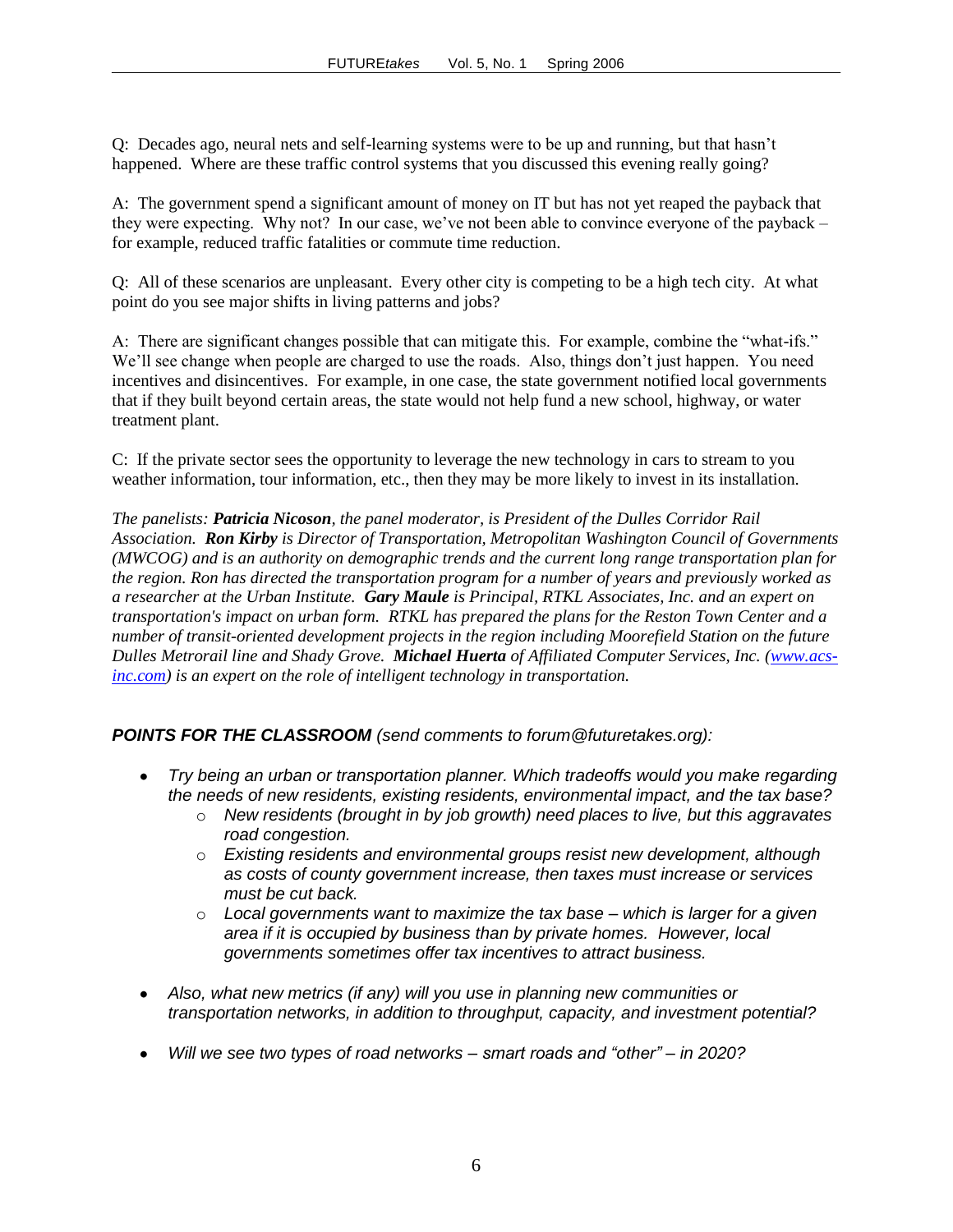Q: Decades ago, neural nets and self-learning systems were to be up and running, but that hasn't happened. Where are these traffic control systems that you discussed this evening really going?

A: The government spend a significant amount of money on IT but has not yet reaped the payback that they were expecting. Why not? In our case, we've not been able to convince everyone of the payback – for example, reduced traffic fatalities or commute time reduction.

Q: All of these scenarios are unpleasant. Every other city is competing to be a high tech city. At what point do you see major shifts in living patterns and jobs?

A: There are significant changes possible that can mitigate this. For example, combine the "what-ifs." We'll see change when people are charged to use the roads. Also, things don't just happen. You need incentives and disincentives. For example, in one case, the state government notified local governments that if they built beyond certain areas, the state would not help fund a new school, highway, or water treatment plant.

C: If the private sector sees the opportunity to leverage the new technology in cars to stream to you weather information, tour information, etc., then they may be more likely to invest in its installation.

*The panelists: Patricia Nicoson, the panel moderator, is President of the Dulles Corridor Rail Association. Ron Kirby is Director of Transportation, Metropolitan Washington Council of Governments (MWCOG) and is an authority on demographic trends and the current long range transportation plan for the region. Ron has directed the transportation program for a number of years and previously worked as a researcher at the Urban Institute. Gary Maule is Principal, RTKL Associates, Inc. and an expert on transportation's impact on urban form. RTKL has prepared the plans for the Reston Town Center and a number of transit-oriented development projects in the region including Moorefield Station on the future Dulles Metrorail line and Shady Grove. Michael Huerta of Affiliated Computer Services, Inc. [\(www.acs](http://www.acs-inc.com/)[inc.com\)](http://www.acs-inc.com/) is an expert on the role of intelligent technology in transportation.*

*POINTS FOR THE CLASSROOM (send comments to forum@futuretakes.org):*

- *Try being an urban or transportation planner. Which tradeoffs would you make regarding the needs of new residents, existing residents, environmental impact, and the tax base?* 
	- o *New residents (brought in by job growth) need places to live, but this aggravates road congestion.*
	- o *Existing residents and environmental groups resist new development, although as costs of county government increase, then taxes must increase or services must be cut back.*
	- o *Local governments want to maximize the tax base – which is larger for a given area if it is occupied by business than by private homes. However, local governments sometimes offer tax incentives to attract business.*
- *Also, what new metrics (if any) will you use in planning new communities or transportation networks, in addition to throughput, capacity, and investment potential?*
- *Will we see two types of road networks – smart roads and "other" – in 2020?*